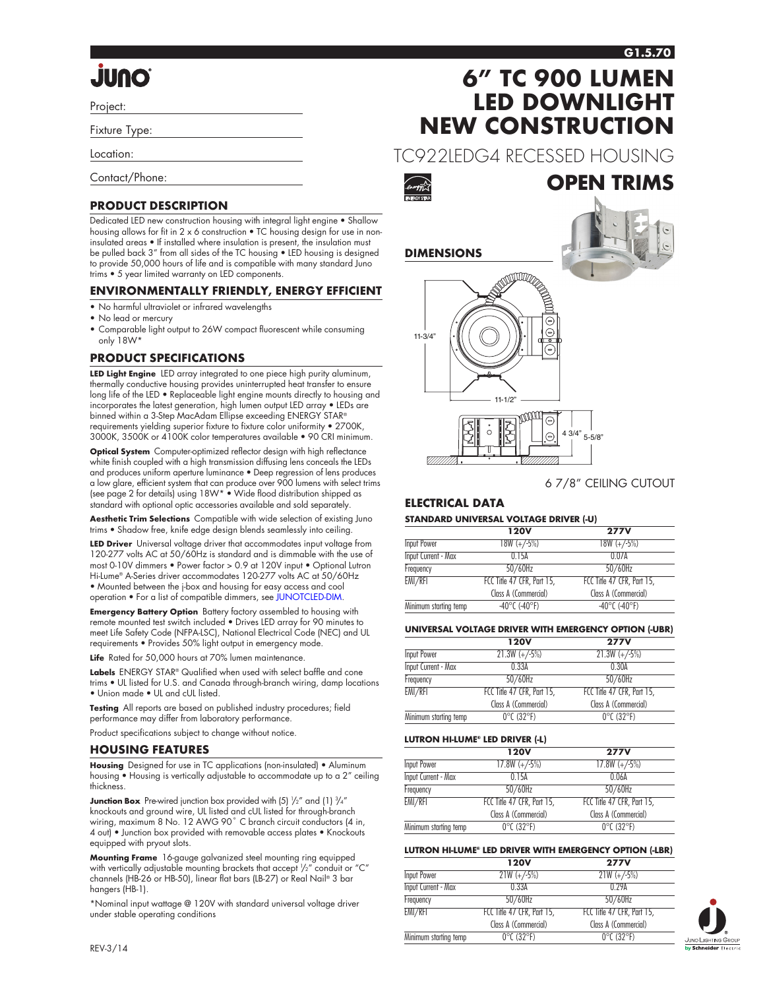# **Quul.**

Project:

Fixture Type:

Location:

Contact/Phone:

### **PRODUCT DESCRIPTION**

Dedicated LED new construction housing with integral light engine • Shallow housing allows for fit in 2 x 6 construction . TC housing design for use in noninsulated areas • If installed where insulation is present, the insulation must be pulled back 3" from all sides of the TC housing • LED housing is designed to provide 50,000 hours of life and is compatible with many standard Juno trims • 5 year limited warranty on LED components.

#### **ENVIRONMENTALLY FRIENDLY, ENERGY EFFICIENT**

- No harmful ultraviolet or infrared wavelengths
- No lead or mercury
- Comparable light output to 26W compact fluorescent while consuming only 18W\*

### **PRODUCT SPECIFICATIONS**

**LED Light Engine** LED array integrated to one piece high purity aluminum, thermally conductive housing provides uninterrupted heat transfer to ensure long life of the LED • Replaceable light engine mounts directly to housing and incorporates the latest generation, high lumen output LED array • LEDs are binned within a 3-Step MacAdam Ellipse exceeding ENERGY STAR® requirements yielding superior fixture to fixture color uniformity • 2700K, 3000K, 3500K or 4100K color temperatures available • 90 CRI minimum.

**Optical System** Computer-optimized reflector design with high reflectance white finish coupled with a high transmission diffusing lens conceals the LEDs and produces uniform aperture luminance • Deep regression of lens produces a low glare, efficient system that can produce over 900 lumens with select trims (see page 2 for details) using 18W\* • Wide flood distribution shipped as standard with optional optic accessories available and sold separately.

**Aesthetic Trim Selections** Compatible with wide selection of existing Juno trims • Shadow free, knife edge design blends seamlessly into ceiling.

**LED Driver** Universal voltage driver that accommodates input voltage from 120-277 volts AC at 50/60Hz is standard and is dimmable with the use of most 0-10V dimmers • Power factor > 0.9 at 120V input • Optional Lutron Hi-Lume® A-Series driver accommodates 120-277 volts AC at 50/60Hz • Mounted between the j-box and housing for easy access and cool operation • For a list of compatible dimmers, see [JUNOTCLED-DIM.](http://www.junolightinggroup.com/Attachments/images/content/SpecSheets/JUNOTCLED-DIM.pdf)

**Emergency Battery Option** Battery factory assembled to housing with remote mounted test switch included • Drives LED array for 90 minutes to meet Life Safety Code (NFPA-LSC), National Electrical Code (NEC) and UL requirements • Provides 50% light output in emergency mode.

Life Rated for 50,000 hours at 70% lumen maintenance

**Labels** ENERGY STAR® Qualified when used with select baffle and cone trims • UL listed for U.S. and Canada through-branch wiring, damp locations • Union made • UL and cUL listed.

**Testing** All reports are based on published industry procedures; field performance may differ from laboratory performance.

Product specifications subject to change without notice.

#### **HOUSING FEATURES**

**Housing** Designed for use in TC applications (non-insulated) • Aluminum housing • Housing is vertically adjustable to accommodate up to a 2" ceiling thickness.

**Junction Box** Pre-wired junction box provided with (5)  $\frac{1}{2}$ " and (1)  $\frac{3}{4}$ " knockouts and ground wire, UL listed and cUL listed for through-branch wiring, maximum 8 No. 12 AWG 90°C branch circuit conductors (4 in, 4 out) • Junction box provided with removable access plates • Knockouts equipped with pryout slots.

**Mounting Frame** 16-gauge galvanized steel mounting ring equipped with vertically adjustable mounting brackets that accept 1 /2" conduit or "C" channels (HB-26 or HB-50), linear flat bars (LB-27) or Real Nail® 3 bar hangers (HB-1).

\*Nominal input wattage @ 120V with standard universal voltage driver under stable operating conditions

# **6" TC 900 LUMEN LED DOWNLIGHT NEW CONSTRUCTION**

TC922LEDG4 RECESSED HOUSING



**DIMENSIONS**



#### 6 7/8" CEILING CUTOUT

**OPEN TRIMS**

### **ELECTRICAL DATA**

#### **STANDARD UNIVERSAL VOLTAGE DRIVER (-U)**

|                            | <b>120V</b>                        | <b>277V</b>                        |
|----------------------------|------------------------------------|------------------------------------|
| Input Power                | $18W (+/-5%)$                      | $18W (+/-5%)$                      |
| <b>Input Current - Max</b> | 0.15A                              | 0.07A                              |
| Frequency                  | $50/60$ Hz                         | $50/60$ Hz                         |
| EMI/RFI                    | FCC Title 47 CFR, Part 15,         | FCC Title 47 CFR, Part 15,         |
|                            | Class A (Commercial)               | Class A (Commercial)               |
| Minimum starting temp      | $-40^{\circ}$ C ( $-40^{\circ}$ F) | $-40^{\circ}$ C ( $-40^{\circ}$ F) |

#### **UNIVERSAL VOLTAGE DRIVER WITH EMERGENCY OPTION (-UBR)**

|                       | <b>120V</b>                     | <b>277V</b>                     |
|-----------------------|---------------------------------|---------------------------------|
| Input Power           | $21.3W (+/-5%)$                 | $21.3W (+/-5%)$                 |
| Input Current - Max   | 0.33A                           | 0.30A                           |
| Frequency             | 50/60Hz                         | $50/60$ Hz                      |
| EMI/RFI               | FCC Title 47 CFR, Part 15,      | FCC Title 47 CFR, Part 15,      |
|                       | Class A (Commercial)            | Class A (Commercial)            |
| Minimum starting temp | $0^{\circ}$ C (32 $^{\circ}$ F) | $0^{\circ}$ C (32 $^{\circ}$ F) |
|                       |                                 |                                 |

#### **LUTRON HI-LUME® LED DRIVER (-L)**

|                            | <b>120V</b>                     | <b>277V</b>                     |
|----------------------------|---------------------------------|---------------------------------|
| Input Power                | $17.8W (+/-5%)$                 | $17.8W (+/-5%)$                 |
| <b>Input Current - Max</b> | 0.15A                           | 0.06A                           |
| Frequency                  | $50/60$ Hz                      | $50/60$ Hz                      |
| EMI/RFI                    | FCC Title 47 CFR, Part 15,      | FCC Title 47 CFR, Part 15,      |
|                            | Class A (Commercial)            | Class A (Commercial)            |
| Minimum starting temp      | $0^{\circ}$ C (32 $^{\circ}$ F) | $0^{\circ}$ C (32 $^{\circ}$ F) |

#### **LUTRON HI-LUME® LED DRIVER WITH EMERGENCY OPTION (-LBR)**

|                            | <b>120V</b>                     | <b>277V</b>                     |
|----------------------------|---------------------------------|---------------------------------|
| Input Power                | $21W (+/-5%)$                   | $21W (+/-5%)$                   |
| <b>Input Current - Max</b> | 0.33A                           | 0.29A                           |
| Frequency                  | $50/60$ Hz                      | 50/60Hz                         |
| EMI/RFI                    | FCC Title 47 CFR, Part 15,      | FCC Title 47 CFR, Part 15,      |
|                            | Class A (Commercial)            | Class A (Commercial)            |
| Minimum starting temp      | $0^{\circ}$ C (32 $^{\circ}$ F) | $0^{\circ}$ C (32 $^{\circ}$ F) |